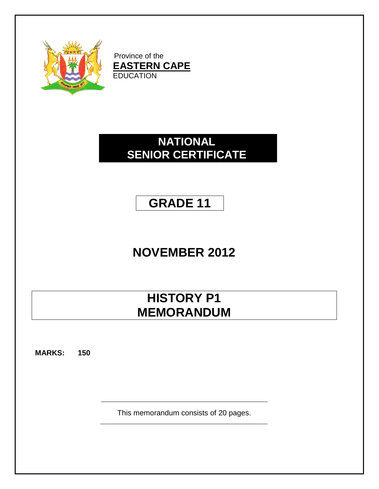

Province of the **EASTERN CAPE** EDUCATION

# **NATIONAL SENIOR CERTIFICATE**

# **GRADE 11**

# **NOVEMBER 2012**

# **HISTORY P1 MEMORANDUM**

**MARKS: 150**

This memorandum consists of 20 pages.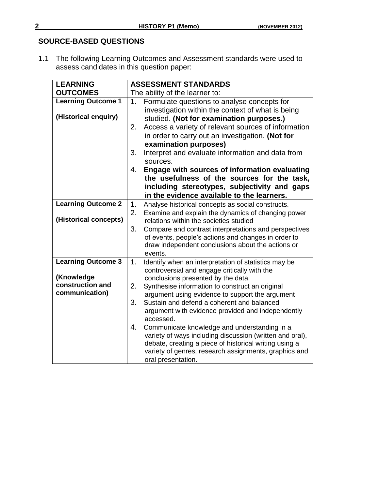# **SOURCE-BASED QUESTIONS**

1.1 The following Learning Outcomes and Assessment standards were used to assess candidates in this question paper:

| <b>LEARNING</b>           | <b>ASSESSMENT STANDARDS</b>                                                                                  |  |  |
|---------------------------|--------------------------------------------------------------------------------------------------------------|--|--|
| <b>OUTCOMES</b>           | The ability of the learner to:                                                                               |  |  |
| <b>Learning Outcome 1</b> | Formulate questions to analyse concepts for<br>1.                                                            |  |  |
|                           | investigation within the context of what is being                                                            |  |  |
| (Historical enquiry)      | studied. (Not for examination purposes.)                                                                     |  |  |
|                           | Access a variety of relevant sources of information<br>2.                                                    |  |  |
|                           | in order to carry out an investigation. (Not for                                                             |  |  |
|                           | examination purposes)                                                                                        |  |  |
|                           | Interpret and evaluate information and data from<br>3.                                                       |  |  |
|                           | sources.                                                                                                     |  |  |
|                           | <b>Engage with sources of information evaluating</b><br>4.                                                   |  |  |
|                           | the usefulness of the sources for the task,                                                                  |  |  |
|                           | including stereotypes, subjectivity and gaps                                                                 |  |  |
|                           | in the evidence available to the learners.                                                                   |  |  |
| <b>Learning Outcome 2</b> | 1.<br>Analyse historical concepts as social constructs.                                                      |  |  |
| (Historical concepts)     | 2.<br>Examine and explain the dynamics of changing power                                                     |  |  |
|                           | relations within the societies studied<br>3.                                                                 |  |  |
|                           | Compare and contrast interpretations and perspectives<br>of events, people's actions and changes in order to |  |  |
|                           | draw independent conclusions about the actions or                                                            |  |  |
|                           | events.                                                                                                      |  |  |
| <b>Learning Outcome 3</b> | Identify when an interpretation of statistics may be<br>1.                                                   |  |  |
|                           | controversial and engage critically with the                                                                 |  |  |
| (Knowledge                | conclusions presented by the data.                                                                           |  |  |
| construction and          | 2.<br>Synthesise information to construct an original                                                        |  |  |
| communication)            | argument using evidence to support the argument                                                              |  |  |
|                           | Sustain and defend a coherent and balanced<br>3.                                                             |  |  |
|                           | argument with evidence provided and independently<br>accessed.                                               |  |  |
|                           | 4.<br>Communicate knowledge and understanding in a                                                           |  |  |
|                           | variety of ways including discussion (written and oral),                                                     |  |  |
|                           | debate, creating a piece of historical writing using a                                                       |  |  |
|                           | variety of genres, research assignments, graphics and                                                        |  |  |
|                           | oral presentation.                                                                                           |  |  |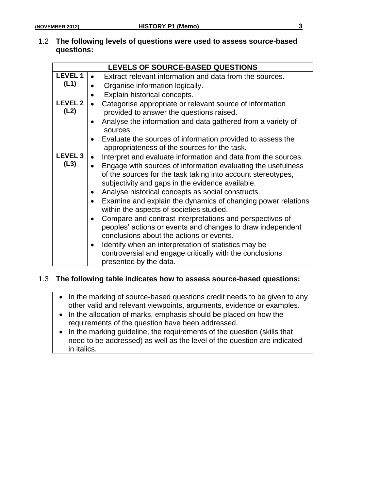### 1.2 **The following levels of questions were used to assess source-based questions:**

|                                                              | LEVELS OF SOURCE-BASED QUESTIONS                                                                         |
|--------------------------------------------------------------|----------------------------------------------------------------------------------------------------------|
| <b>LEVEL 1</b>                                               | Extract relevant information and data from the sources.                                                  |
| (L1)                                                         | Organise information logically.                                                                          |
|                                                              | Explain historical concepts.                                                                             |
| <b>LEVEL 2</b>                                               | Categorise appropriate or relevant source of information                                                 |
| (L2)                                                         | provided to answer the questions raised.                                                                 |
|                                                              | Analyse the information and data gathered from a variety of                                              |
|                                                              | sources.                                                                                                 |
|                                                              | Evaluate the sources of information provided to assess the                                               |
|                                                              | appropriateness of the sources for the task.                                                             |
| <b>LEVEL 3</b>                                               | Interpret and evaluate information and data from the sources.                                            |
| (L3)                                                         | Engage with sources of information evaluating the usefulness                                             |
| of the sources for the task taking into account stereotypes, |                                                                                                          |
|                                                              | subjectivity and gaps in the evidence available.                                                         |
|                                                              | Analyse historical concepts as social constructs.<br>$\bullet$                                           |
|                                                              | Examine and explain the dynamics of changing power relations<br>within the aspects of societies studied. |
|                                                              | Compare and contrast interpretations and perspectives of<br>$\bullet$                                    |
|                                                              | peoples' actions or events and changes to draw independent                                               |
|                                                              | conclusions about the actions or events.                                                                 |
|                                                              | Identify when an interpretation of statistics may be                                                     |
|                                                              | controversial and engage critically with the conclusions                                                 |
|                                                              | presented by the data.                                                                                   |

# 1.3 **The following table indicates how to assess source-based questions:**

| • In the marking of source-based questions credit needs to be given to any |
|----------------------------------------------------------------------------|
| other valid and relevant viewpoints, arguments, evidence or examples.      |

- In the allocation of marks, emphasis should be placed on how the requirements of the question have been addressed.
- In the marking guideline, the requirements of the question (skills that need to be addressed) as well as the level of the question are indicated in italics.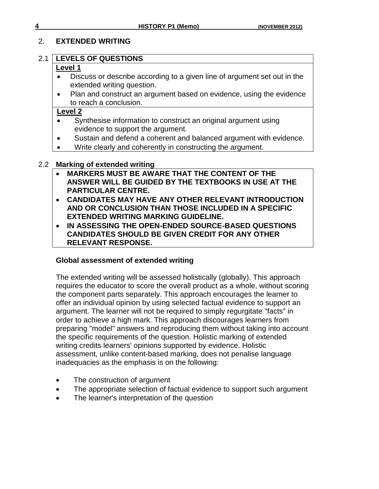# 2. **EXTENDED WRITING**

# 2.1 **LEVELS OF QUESTIONS**

# **Level 1**

- Discuss or describe according to a given line of argument set out in the extended writing question.
- Plan and construct an argument based on evidence, using the evidence to reach a conclusion.

# **Level 2**

- Synthesise information to construct an original argument using evidence to support the argument.
- Sustain and defend a coherent and balanced argument with evidence.
- Write clearly and coherently in constructing the argument.

# 2.2 **Marking of extended writing**

- **MARKERS MUST BE AWARE THAT THE CONTENT OF THE ANSWER WILL BE GUIDED BY THE TEXTBOOKS IN USE AT THE PARTICULAR CENTRE.**
- **CANDIDATES MAY HAVE ANY OTHER RELEVANT INTRODUCTION AND OR CONCLUSION THAN THOSE INCLUDED IN A SPECIFIC EXTENDED WRITING MARKING GUIDELINE.**
- **IN ASSESSING THE OPEN-ENDED SOURCE-BASED QUESTIONS CANDIDATES SHOULD BE GIVEN CREDIT FOR ANY OTHER RELEVANT RESPONSE.**

# **Global assessment of extended writing**

The extended writing will be assessed holistically (globally). This approach requires the educator to score the overall product as a whole, without scoring the component parts separately. This approach encourages the learner to offer an individual opinion by using selected factual evidence to support an argument. The learner will not be required to simply regurgitate "facts" in order to achieve a high mark. This approach discourages learners from preparing "model" answers and reproducing them without taking into account the specific requirements of the question. Holistic marking of extended writing credits learners' opinions supported by evidence. Holistic assessment, unlike content-based marking, does not penalise language inadequacies as the emphasis is on the following:

- The construction of argument
- The appropriate selection of factual evidence to support such argument
- The learner's interpretation of the question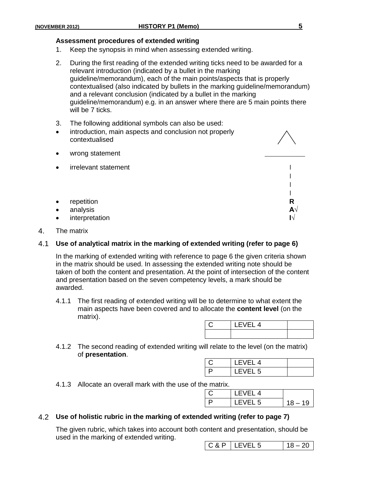# **Assessment procedures of extended writing**

- 1. Keep the synopsis in mind when assessing extended writing.
- 2. During the first reading of the extended writing ticks need to be awarded for a relevant introduction (indicated by a bullet in the marking guideline/memorandum), each of the main points/aspects that is properly contextualised (also indicated by bullets in the marking guideline/memorandum) and a relevant conclusion (indicated by a bullet in the marking guideline/memorandum) e.g. in an answer where there are 5 main points there will be 7 ticks.
- 3. The following additional symbols can also be used:
- introduction, main aspects and conclusion not properly contextualised
	- irrelevant statement New York New York 1, 1999 ׀ ׀ ׀
- repetition **R**
- analysis **A√**
- interpretation **I√**

wrong statement

4. The matrix

#### 4.1 **Use of analytical matrix in the marking of extended writing (refer to page 6)**

In the marking of extended writing with reference to page 6 the given criteria shown in the matrix should be used. In assessing the extended writing note should be taken of both the content and presentation. At the point of intersection of the content and presentation based on the seven competency levels, a mark should be awarded.

4.1.1 The first reading of extended writing will be to determine to what extent the main aspects have been covered and to allocate the **content level** (on the matrix).

| $-14$ |  |
|-------|--|
|       |  |

4.1.2 The second reading of extended writing will relate to the level (on the matrix) of **presentation**.

| LEVEL 4 |  |
|---------|--|
| LEVEL 5 |  |

4.1.3 Allocate an overall mark with the use of the matrix.

| . |            |          |
|---|------------|----------|
|   | $I$ FVFI 4 |          |
|   | EVEL 5     | $8 - 19$ |

#### 4.2 **Use of holistic rubric in the marking of extended writing (refer to page 7)**

The given rubric, which takes into account both content and presentation, should be used in the marking of extended writing.

 $C & P$  | LEVEL 5 | 18 – 20

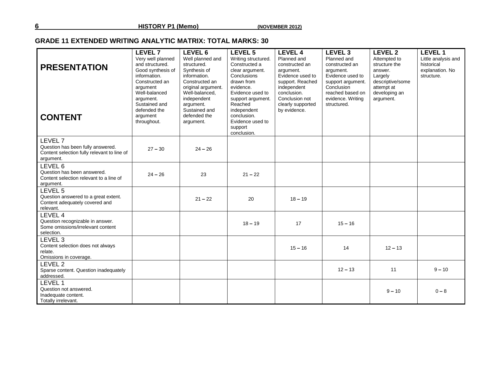### **GRADE 11 EXTENDED WRITING ANALYTIC MATRIX: TOTAL MARKS: 30**

| <b>PRESENTATION</b>                                                                                      | <b>LEVEL 7</b><br>Very well planned<br>and structured.<br>Good synthesis of<br>information.                          | LEVEL 6<br>Well planned and<br>structured.<br>Svnthesis of<br>information.                                                       | LEVEL 5<br>Writing structured.<br>Constructed a<br>clear argument.<br>Conclusions                                                                       | <b>LEVEL 4</b><br>Planned and<br>constructed an<br>argument.<br>Evidence used to                      | LEVEL <sub>3</sub><br>Planned and<br>constructed an<br>argument.<br>Evidence used to    | LEVEL 2<br>Attempted to<br>structure the<br>answer.<br>Largely | <b>LEVEL 1</b><br>Little analysis and<br>historical<br>explanation. No<br>structure. |
|----------------------------------------------------------------------------------------------------------|----------------------------------------------------------------------------------------------------------------------|----------------------------------------------------------------------------------------------------------------------------------|---------------------------------------------------------------------------------------------------------------------------------------------------------|-------------------------------------------------------------------------------------------------------|-----------------------------------------------------------------------------------------|----------------------------------------------------------------|--------------------------------------------------------------------------------------|
| <b>CONTENT</b>                                                                                           | Constructed an<br>argument<br>Well-balanced<br>argument.<br>Sustained and<br>defended the<br>argument<br>throughout. | Constructed an<br>original argument.<br>Well-balanced,<br>independent<br>argument.<br>Sustained and<br>defended the<br>argument. | drawn from<br>evidence.<br>Evidence used to<br>support argument.<br>Reached<br>independent<br>conclusion.<br>Evidence used to<br>support<br>conclusion. | support. Reached<br>independent<br>conclusion.<br>Conclusion not<br>clearly supported<br>by evidence. | support argument.<br>Conclusion<br>reached based on<br>evidence. Writing<br>structured. | descriptive/some<br>attempt at<br>developing an<br>argument.   |                                                                                      |
| LEVEL 7<br>Question has been fully answered.<br>Content selection fully relevant to line of<br>argument. | $27 - 30$                                                                                                            | $24 - 26$                                                                                                                        |                                                                                                                                                         |                                                                                                       |                                                                                         |                                                                |                                                                                      |
| LEVEL 6<br>Question has been answered.<br>Content selection relevant to a line of<br>argument.           | $24 - 26$                                                                                                            | 23                                                                                                                               | $21 - 22$                                                                                                                                               |                                                                                                       |                                                                                         |                                                                |                                                                                      |
| LEVEL 5<br>Question answered to a great extent.<br>Content adequately covered and<br>relevant.           |                                                                                                                      | $21 - 22$                                                                                                                        | 20                                                                                                                                                      | $18 - 19$                                                                                             |                                                                                         |                                                                |                                                                                      |
| LEVEL 4<br>Question recognizable in answer.<br>Some omissions/irrelevant content<br>selection.           |                                                                                                                      |                                                                                                                                  | $18 - 19$                                                                                                                                               | 17                                                                                                    | $15 - 16$                                                                               |                                                                |                                                                                      |
| LEVEL 3<br>Content selection does not always<br>relate.<br>Omissions in coverage.                        |                                                                                                                      |                                                                                                                                  |                                                                                                                                                         | $15 - 16$                                                                                             | 14                                                                                      | $12 - 13$                                                      |                                                                                      |
| LEVEL 2<br>Sparse content. Question inadequately<br>addressed.                                           |                                                                                                                      |                                                                                                                                  |                                                                                                                                                         |                                                                                                       | $12 - 13$                                                                               | 11                                                             | $9 - 10$                                                                             |
| LEVEL 1<br>Question not answered.<br>Inadequate content.<br>Totally irrelevant.                          |                                                                                                                      |                                                                                                                                  |                                                                                                                                                         |                                                                                                       |                                                                                         | $9 - 10$                                                       | $0 - 8$                                                                              |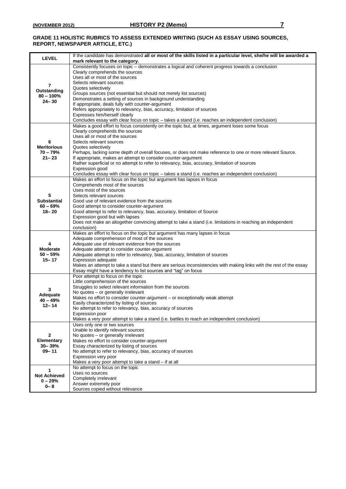#### **GRADE 11 HOLISTIC RUBRICS TO ASSESS EXTENDED WRITING (SUCH AS ESSAY USING SOURCES, REPORT, NEWSPAPER ARTICLE, ETC.)**

| <b>LEVEL</b>             | If the candidate has demonstrated all or most of the skills listed in a particular level, she/he will be awarded a<br>mark relevant to the category.                        |
|--------------------------|-----------------------------------------------------------------------------------------------------------------------------------------------------------------------------|
|                          | Consistently focuses on topic - demonstrates a logical and coherent progress towards a conclusion                                                                           |
|                          | Clearly comprehends the sources<br>Uses all or most of the sources                                                                                                          |
|                          | Selects relevant sources                                                                                                                                                    |
| 7<br>Outstanding         | Quotes selectively                                                                                                                                                          |
| $80 - 100%$              | Groups sources (not essential but should not merely list sources)                                                                                                           |
| $24 - 30$                | Demonstrates a setting of sources in background understanding<br>If appropriate, deals fully with counter-argument                                                          |
|                          | Refers appropriately to relevancy, bias, accuracy, limitation of sources                                                                                                    |
|                          | Expresses him/herself clearly                                                                                                                                               |
|                          | Concludes essay with clear focus on topic - takes a stand (i.e. reaches an independent conclusion)                                                                          |
|                          | Makes a good effort to focus consistently on the topic but, at times, argument loses some focus<br>Clearly comprehends the sources                                          |
|                          | Uses all or most of the sources                                                                                                                                             |
| 6                        | Selects relevant sources                                                                                                                                                    |
| <b>Meritorious</b>       | Quotes selectively                                                                                                                                                          |
| $70 - 79%$<br>$21 - 23$  | Perhaps, lacking some depth of overall focuses, or does not make reference to one or more relevant Source.<br>If appropriate, makes an attempt to consider counter-argument |
|                          | Rather superficial or no attempt to refer to relevancy, bias, accuracy, limitation of sources                                                                               |
|                          | Expression good                                                                                                                                                             |
|                          | Concludes essay with clear focus on topic - takes a stand (i.e. reaches an independent conclusion)                                                                          |
|                          | Makes an effort to focus on the topic but argument has lapses in focus<br>Comprehends most of the sources                                                                   |
|                          | Uses most of the sources                                                                                                                                                    |
| 5                        | Selects relevant sources                                                                                                                                                    |
| <b>Substantial</b>       | Good use of relevant evidence from the sources                                                                                                                              |
| $60 - 69%$<br>$18 - 20$  | Good attempt to consider counter-argument<br>Good attempt to refer to relevancy, bias, accuracy, limitation of Source                                                       |
|                          | Expression good but with lapses                                                                                                                                             |
|                          | Does not make an altogether convincing attempt to take a stand (i.e. limitations in reaching an independent                                                                 |
|                          | conclusion)                                                                                                                                                                 |
|                          | Makes an effort to focus on the topic but argument has many lapses in focus<br>Adequate comprehension of most of the sources                                                |
| 4                        | Adequate use of relevant evidence from the sources                                                                                                                          |
| <b>Moderate</b>          | Adequate attempt to consider counter-argument                                                                                                                               |
| $50 - 59%$<br>$15 - 17$  | Adequate attempt to refer to relevancy, bias, accuracy, limitation of sources<br>Expression adequate                                                                        |
|                          | Makes an attempt to take a stand but there are serious inconsistencies with making links with the rest of the essay                                                         |
|                          | Essay might have a tendency to list sources and "tag" on focus                                                                                                              |
|                          | Poor attempt to focus on the topic                                                                                                                                          |
|                          | Little comprehension of the sources<br>Struggles to select relevant information from the sources                                                                            |
| 3<br>Adequate            | No quotes - or generally irrelevant                                                                                                                                         |
| $40 - 49%$               | Makes no effort to consider counter-argument - or exceptionally weak attempt                                                                                                |
| $12 - 14$                | Easily characterized by listing of sources<br>No attempt to refer to relevancy, bias, accuracy of sources                                                                   |
|                          | Expression poor                                                                                                                                                             |
|                          | Makes a very poor attempt to take a stand (i.e. battles to reach an independent conclusion)                                                                                 |
|                          | Uses only one or two sources                                                                                                                                                |
| 2                        | Unable to identify relevant sources<br>No quotes - or generally irrelevant                                                                                                  |
| Elementary               | Makes no effort to consider counter-argument                                                                                                                                |
| $30 - 39%$               | Essay characterized by listing of sources                                                                                                                                   |
| $09 - 11$                | No attempt to refer to relevancy, bias, accuracy of sources                                                                                                                 |
|                          | Expression very poor<br>Makes a very poor attempt to take a stand - if at all                                                                                               |
|                          | No attempt to focus on the topic                                                                                                                                            |
| 1<br><b>Not Achieved</b> | Uses no sources                                                                                                                                                             |
| $0 - 29%$                | Completely irrelevant<br>Answer extremely poor                                                                                                                              |
| $0 - 8$                  | Sources copied without relevance                                                                                                                                            |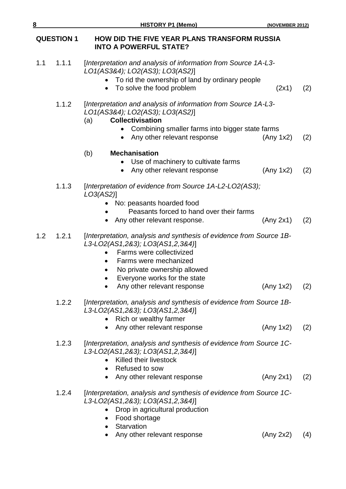# **QUESTION 1 HOW DID THE FIVE YEAR PLANS TRANSFORM RUSSIA INTO A POWERFUL STATE?**

- 1.1 1.1.1 [*Interpretation and analysis of information from Source 1A-L3- LO1(AS3&4); LO2(AS3); LO3(AS2)*]
	- To rid the ownership of land by ordinary people
	- To solve the food problem (2x1) (2)
	- 1.1.2 [*Interpretation and analysis of information from Source 1A-L3- LO1(AS3&4); LO2(AS3); LO3(AS2)*]

# (a) **Collectivisation**

- Combining smaller farms into bigger state farms
- Any other relevant response (Any 1x2) (2)

# (b) **Mechanisation**

- Use of machinery to cultivate farms
- Any other relevant response (Any 1x2) (2)

# 1.1.3 [*Interpretation of evidence from Source 1A-L2-LO2(AS3); LO3(AS2)*]

- No: peasants hoarded food
- Peasants forced to hand over their farms
- Any other relevant response. (Any 2x1) (2)

# 1.2 1.2.1 [*Interpretation, analysis and synthesis of evidence from Source 1B-L3-LO2(AS1,2&3); LO3(AS1,2,3&4)*]

- Farms were collectivized
- Farms were mechanized
- No private ownership allowed
- Everyone works for the state
- Any other relevant response (Any 1x2) (2)
- 1.2.2 [*Interpretation, analysis and synthesis of evidence from Source 1B-L3-LO2(AS1,2&3); LO3(AS1,2,3&4)*]
	- Rich or wealthy farmer
	- Any other relevant response (Any 1x2) (2)
- 1.2.3 [*Interpretation, analysis and synthesis of evidence from Source 1C-L3-LO2(AS1,2&3); LO3(AS1,2,3&4)*]
	- Killed their livestock
	- Refused to sow
	- Any other relevant response (Any 2x1) (2)
- 1.2.4 [*Interpretation, analysis and synthesis of evidence from Source 1C-L3-LO2(AS1,2&3); LO3(AS1,2,3&4)*]
	- Drop in agricultural production
	- Food shortage
	- Starvation
	- Any other relevant response (Any 2x2) (4)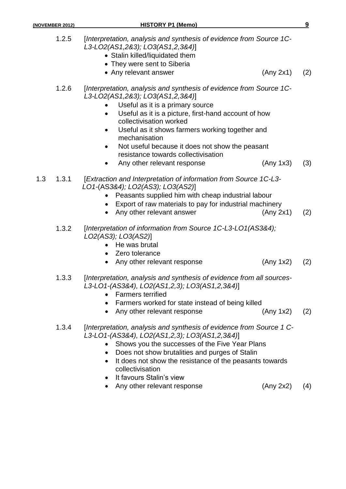- Stalin killed/liquidated them
- They were sent to Siberia
- Any relevant answer (Any 2x1) (2)

- 1.2.6 [*Interpretation, analysis and synthesis of evidence from Source 1C-L3-LO2(AS1,2&3); LO3(AS1,2,3&4)*]
	- Useful as it is a primary source
	- Useful as it is a picture, first-hand account of how collectivisation worked
	- Useful as it shows farmers working together and mechanisation
	- Not useful because it does not show the peasant resistance towards collectivisation
	- Any other relevant response (Any 1x3) (3)
- 1.3 1.3.1 [*Extraction and Interpretation of information from Source 1C-L3- LO1-*(AS*3&4); LO2(AS3); LO3(AS2)*]
	- Peasants supplied him with cheap industrial labour
	- Export of raw materials to pay for industrial machinery
	- Any other relevant answer (Any 2x1) (2)
	- 1.3.2 [*Interpretation of information from Source 1C-L3-LO1(AS3&4); LO2(AS3); LO3(AS2)*]
		- He was brutal
		- Zero tolerance
		- Any other relevant response (Any 1x2) (2)
	- 1.3.3 [*Interpretation, analysis and synthesis of evidence from all sources-L3-LO1-(AS3&4), LO2(AS1,2,3); LO3(AS1,2,3&4)*]
		- Farmers terrified
		- Farmers worked for state instead of being killed
		- Any other relevant response (Any 1x2) (2)
	- 1.3.4 [*Interpretation, analysis and synthesis of evidence from Source 1 C-L3-LO1-(AS3&4), LO2(AS1,2,3); LO3(AS1,2,3&4)*]
		- Shows you the successes of the Five Year Plans
		- Does not show brutalities and purges of Stalin
		- It does not show the resistance of the peasants towards collectivisation
		- It favours Stalin's view
		- Any other relevant response (Any 2x2) (4)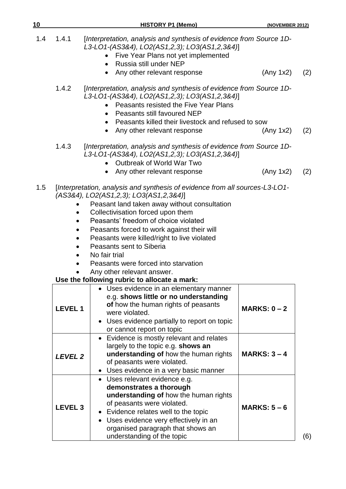| 1.4 | 1.4.1          | [Interpretation, analysis and synthesis of evidence from Source 1D-<br>L3-LO1-(AS3&4), LO2(AS1,2,3); LO3(AS1,2,3&4)]<br>Five Year Plans not yet implemented<br>$\bullet$<br>Russia still under NEP<br>$\bullet$<br>Any other relevant response<br>$\bullet$                                                                                                                                                                                                         | (Any 1x2)      | (2) |
|-----|----------------|---------------------------------------------------------------------------------------------------------------------------------------------------------------------------------------------------------------------------------------------------------------------------------------------------------------------------------------------------------------------------------------------------------------------------------------------------------------------|----------------|-----|
|     | 1.4.2          | [Interpretation, analysis and synthesis of evidence from Source 1D-<br>L3-LO1-(AS3&4), LO2(AS1,2,3); LO3(AS1,2,3&4)]<br>Peasants resisted the Five Year Plans<br>Peasants still favoured NEP<br>$\bullet$<br>Peasants killed their livestock and refused to sow<br>$\bullet$                                                                                                                                                                                        |                |     |
|     |                | Any other relevant response<br>$\bullet$                                                                                                                                                                                                                                                                                                                                                                                                                            | (Any 1x2)      | (2) |
|     | 1.4.3          | [Interpretation, analysis and synthesis of evidence from Source 1D-<br>L3-LO1-(AS3&4), LO2(AS1,2,3); LO3(AS1,2,3&4)]<br>Outbreak of World War Two                                                                                                                                                                                                                                                                                                                   |                |     |
|     |                | Any other relevant response<br>$\bullet$                                                                                                                                                                                                                                                                                                                                                                                                                            | (Any 1x2)      | (2) |
| 1.5 |                | [Interpretation, analysis and synthesis of evidence from all sources-L3-LO1-<br>(AS3&4), LO2(AS1,2,3); LO3(AS1,2,3&4)]<br>Peasant land taken away without consultation<br>Collectivisation forced upon them<br>Peasants' freedom of choice violated<br>Peasants forced to work against their will<br>Peasants were killed/right to live violated<br>Peasants sent to Siberia<br>No fair trial<br>Peasants were forced into starvation<br>Any other relevant answer. |                |     |
|     |                | Use the following rubric to allocate a mark:<br>• Uses evidence in an elementary manner                                                                                                                                                                                                                                                                                                                                                                             |                |     |
|     | <b>LEVEL 1</b> | e.g. shows little or no understanding<br>of how the human rights of peasants<br>were violated.<br>• Uses evidence partially to report on topic                                                                                                                                                                                                                                                                                                                      | MARKS: $0 - 2$ |     |

**10 HISTORY P1 (Memo) (NOVEMBER 2012)**

|                | • Uses evidence partially to report on topic<br>or cannot report on topic                                                                                                                                                                                                            |                |
|----------------|--------------------------------------------------------------------------------------------------------------------------------------------------------------------------------------------------------------------------------------------------------------------------------------|----------------|
| <b>LEVEL 2</b> | • Evidence is mostly relevant and relates<br>largely to the topic e.g. shows an<br>understanding of how the human rights<br>of peasants were violated.<br>• Uses evidence in a very basic manner                                                                                     | $MARKS: 3 - 4$ |
| <b>LEVEL 3</b> | • Uses relevant evidence e.g.<br>demonstrates a thorough<br>understanding of how the human rights<br>of peasants were violated.<br>• Evidence relates well to the topic<br>• Uses evidence very effectively in an<br>organised paragraph that shows an<br>understanding of the topic | $MARKS: 5-6$   |

(6)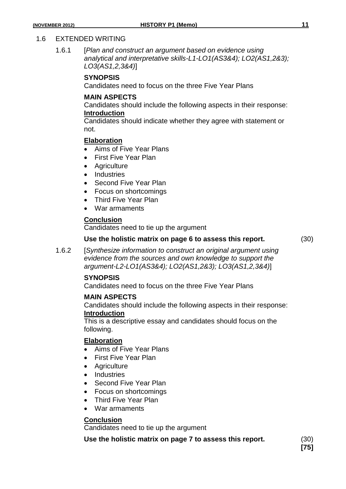#### 1.6 EXTENDED WRITING

1.6.1 [*Plan and construct an argument based on evidence using analytical and interpretative skills-L1-LO1(AS3&4); LO2(AS1,2&3); LO3(AS1,2,3&4)*]

#### **SYNOPSIS**

Candidates need to focus on the three Five Year Plans

#### **MAIN ASPECTS**

Candidates should include the following aspects in their response: **Introduction**

Candidates should indicate whether they agree with statement or not.

#### **Elaboration**

- Aims of Five Year Plans
- First Five Year Plan
- Agriculture
- Industries
- Second Five Year Plan
- Focus on shortcomings
- Third Five Year Plan
- War armaments

#### **Conclusion**

Candidates need to tie up the argument

# **Use the holistic matrix on page 6 to assess this report.** (30)

1.6.2 [*Synthesize information to construct an original argument using evidence from the sources and own knowledge to support the argument-L2-LO1(AS3&4); LO2(AS1,2&3); LO3(AS1,2,3&4)*]

#### **SYNOPSIS**

Candidates need to focus on the three Five Year Plans

#### **MAIN ASPECTS**

Candidates should include the following aspects in their response: **Introduction**

This is a descriptive essay and candidates should focus on the following.

#### **Elaboration**

- Aims of Five Year Plans
- First Five Year Plan
- Agriculture
- Industries
- Second Five Year Plan
- Focus on shortcomings
- Third Five Year Plan
- War armaments

#### **Conclusion**

Candidates need to tie up the argument

**Use the holistic matrix on page 7 to assess this report.** (30)

**[75]**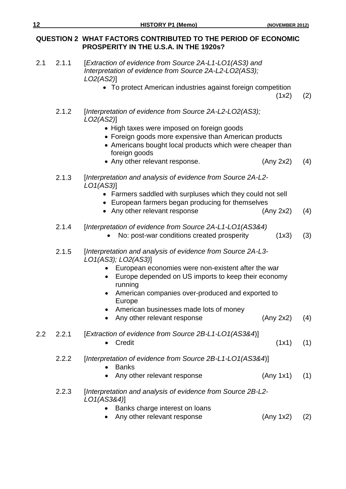### **QUESTION 2 WHAT FACTORS CONTRIBUTED TO THE PERIOD OF ECONOMIC PROSPERITY IN THE U.S.A. IN THE 1920s?**

2.1 2.1.1 [*Extraction of evidence from Source 2A-L1-LO1(AS3) and Interpretation of evidence from Source 2A-L2-LO2(AS3); LO2(AS2)*] To protect American industries against foreign competition  $(1x2)$   $(2)$ 2.1.2 [*Interpretation of evidence from Source 2A-L2-LO2(AS3); LO2(AS2)*] • High taxes were imposed on foreign goods Foreign goods more expensive than American products • Americans bought local products which were cheaper than foreign goods • Any other relevant response. (Any 2x2) (4) 2.1.3 [*Interpretation and analysis of evidence from Source 2A-L2- LO1(AS3)*] Farmers saddled with surpluses which they could not sell European farmers began producing for themselves • Any other relevant response (Any 2x2) (4) 2.1.4 [*Interpretation of evidence from Source 2A-L1-LO1(AS3&4)* • No: post-war conditions created prosperity (1x3) (3) 2.1.5 [*Interpretation and analysis of evidence from Source 2A-L3- LO1(AS3); LO2(AS3)*] European economies were non-existent after the war Europe depended on US imports to keep their economy running American companies over-produced and exported to Europe • American businesses made lots of money • Any other relevant response (Any 2x2) (4) 2.2 2.2.1 [*Extraction of evidence from Source 2B-L1-LO1(AS3&4*)] •  $Credit$  (1x1) (1) 2.2.2 [*Interpretation of evidence from Source 2B-L1-LO1(AS3&4*)] • Banks Any other relevant response (Any 1x1) (1) 2.2.3 [*Interpretation and analysis of evidence from Source 2B-L2- LO1(AS3&4)*] • Banks charge interest on loans • Any other relevant response (Any 1x2) (2)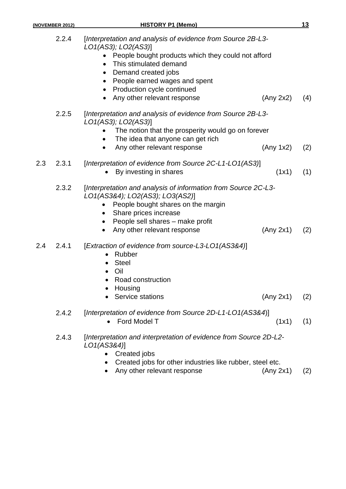|     | 2.2.4 | [Interpretation and analysis of evidence from Source 2B-L3-<br>LO1(AS3); LO2(AS3)]                |       |     |
|-----|-------|---------------------------------------------------------------------------------------------------|-------|-----|
|     |       | People bought products which they could not afford<br>This stimulated demand<br>$\bullet$         |       |     |
|     |       | Demand created jobs<br>$\bullet$                                                                  |       |     |
|     |       | People earned wages and spent<br>$\bullet$                                                        |       |     |
|     |       | Production cycle continued<br>$\bullet$<br>Any other relevant response<br>(Any 2x2)               |       | (4) |
|     | 2.2.5 | [Interpretation and analysis of evidence from Source 2B-L3-<br>LO1(AS3); LO2(AS3)]                |       |     |
|     |       | The notion that the prosperity would go on forever                                                |       |     |
|     |       | The idea that anyone can get rich                                                                 |       |     |
|     |       | Any other relevant response<br>(Any 1x2)<br>$\bullet$                                             |       | (2) |
| 2.3 | 2.3.1 | [Interpretation of evidence from Source 2C-L1-L01(AS3)]                                           |       |     |
|     |       | By investing in shares                                                                            | (1x1) | (1) |
|     | 2.3.2 | [Interpretation and analysis of information from Source 2C-L3-<br>LO1(AS3&4); LO2(AS3); LO3(AS2)] |       |     |
|     |       | People bought shares on the margin                                                                |       |     |
|     |       | Share prices increase<br>$\bullet$                                                                |       |     |
|     |       | People sell shares - make profit<br>$\bullet$                                                     |       |     |
|     |       | Any other relevant response<br>(Any 2x1)<br>$\bullet$                                             |       | (2) |
| 2.4 | 2.4.1 | [Extraction of evidence from source-L3-L01(AS3&4)]<br>Rubber<br>$\bullet$                         |       |     |
|     |       | <b>Steel</b><br>$\bullet$                                                                         |       |     |
|     |       | Oil<br>$\bullet$                                                                                  |       |     |
|     |       | Road construction                                                                                 |       |     |
|     |       | Housing<br>$\bullet$<br>(Any 2x1)                                                                 |       |     |
|     |       | Service stations                                                                                  |       | (2) |
|     | 2.4.2 | [Interpretation of evidence from Source 2D-L1-LO1(AS3&4)]                                         |       |     |
|     |       | Ford Model T<br>$\bullet$                                                                         | (1x1) | (1) |
|     | 2.4.3 | [Interpretation and interpretation of evidence from Source 2D-L2-<br>LO1(AS3&4)]                  |       |     |
|     |       | Created jobs                                                                                      |       |     |
|     |       | Created jobs for other industries like rubber, steel etc.                                         |       |     |

• Any other relevant response (Any 2x1) (2)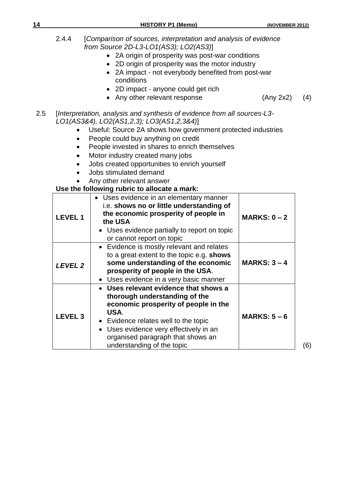- 2A origin of prosperity was post-war conditions
- 2D origin of prosperity was the motor industry
- 2A impact not everybody benefited from post-war conditions
- 2D impact anyone could get rich
- Any other relevant response (Any 2x2) (4)

- 2.5 [*Interpretation, analysis and synthesis of evidence from all sources-L3- LO1(AS3&4), LO2(AS1,2,3); LO3(AS1,2,3&4)*]
	- Useful: Source 2A shows how government protected industries
	- People could buy anything on credit
	- People invested in shares to enrich themselves
	- Motor industry created many jobs
	- Jobs created opportunities to enrich yourself
	- Jobs stimulated demand
	- Any other relevant answer

### **Use the following rubric to allocate a mark:**

| <b>LEVEL 1</b>     | • Uses evidence in an elementary manner<br>i.e. shows no or little understanding of<br>the economic prosperity of people in<br>the USA<br>• Uses evidence partially to report on topic<br>or cannot report on topic                                                       | MARKS: $0 - 2$ |
|--------------------|---------------------------------------------------------------------------------------------------------------------------------------------------------------------------------------------------------------------------------------------------------------------------|----------------|
| <b>LEVEL 2</b>     | • Evidence is mostly relevant and relates<br>to a great extent to the topic e.g. shows<br>some understanding of the economic<br>prosperity of people in the USA.<br>• Uses evidence in a very basic manner                                                                | MARKS: $3 - 4$ |
| LEVEL <sub>3</sub> | • Uses relevant evidence that shows a<br>thorough understanding of the<br>economic prosperity of people in the<br>USA.<br>• Evidence relates well to the topic<br>Uses evidence very effectively in an<br>organised paragraph that shows an<br>understanding of the topic | MARKS: $5-6$   |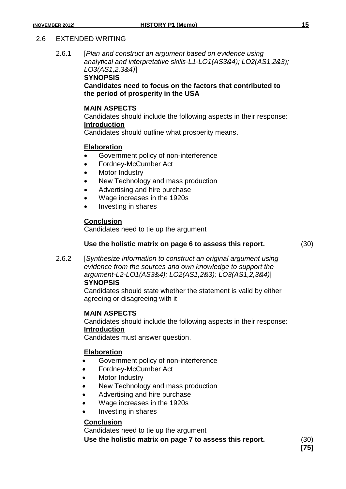#### 2.6 EXTENDED WRITING

2.6.1 [*Plan and construct an argument based on evidence using analytical and interpretative skills-L1-LO1(AS3&4); LO2(AS1,2&3); LO3(AS1,2,3&4)*]

**SYNOPSIS**

**Candidates need to focus on the factors that contributed to the period of prosperity in the USA**

#### **MAIN ASPECTS**

Candidates should include the following aspects in their response: **Introduction**

Candidates should outline what prosperity means.

#### **Elaboration**

- Government policy of non-interference
- Fordney-McCumber Act
- Motor Industry
- New Technology and mass production
- Advertising and hire purchase
- Wage increases in the 1920s
- Investing in shares

#### **Conclusion**

Candidates need to tie up the argument

#### **Use the holistic matrix on page 6 to assess this report.** (30)

2.6.2 [*Synthesize information to construct an original argument using evidence from the sources and own knowledge to support the argument-L2-LO1(AS3&4); LO2(AS1,2&3); LO3(AS1,2,3&4)*] **SYNOPSIS**

> Candidates should state whether the statement is valid by either agreeing or disagreeing with it

#### **MAIN ASPECTS**

Candidates should include the following aspects in their response: **Introduction**

Candidates must answer question.

#### **Elaboration**

- Government policy of non-interference
- Fordney-McCumber Act
- Motor Industry
- New Technology and mass production
- Advertising and hire purchase
- Wage increases in the 1920s
- Investing in shares

### **Conclusion**

Candidates need to tie up the argument

**Use the holistic matrix on page 7 to assess this report.** (30)

**[75]**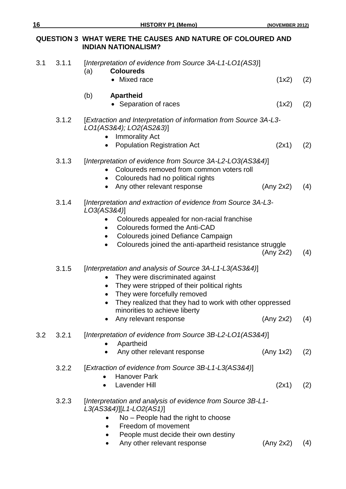# **QUESTION 3 WHAT WERE THE CAUSES AND NATURE OF COLOURED AND INDIAN NATIONALISM?**

| 3.1 | 3.1.1 | [Interpretation of evidence from Source 3A-L1-LO1(AS3)]<br><b>Coloureds</b><br>(a)<br>• Mixed race                                                                                                                                                                                               | (1x2)     | (2) |
|-----|-------|--------------------------------------------------------------------------------------------------------------------------------------------------------------------------------------------------------------------------------------------------------------------------------------------------|-----------|-----|
|     |       | (b)<br><b>Apartheid</b><br>• Separation of races                                                                                                                                                                                                                                                 | (1x2)     | (2) |
|     | 3.1.2 | [Extraction and Interpretation of information from Source 3A-L3-<br>LO1(AS3&4); LO2(AS2&3)]                                                                                                                                                                                                      |           |     |
|     |       | <b>Immorality Act</b><br><b>Population Registration Act</b><br>$\bullet$                                                                                                                                                                                                                         | (2x1)     | (2) |
|     | 3.1.3 | [Interpretation of evidence from Source 3A-L2-LO3(AS3&4)]<br>Coloureds removed from common voters roll<br>Coloureds had no political rights<br>$\bullet$<br>Any other relevant response<br>$\bullet$                                                                                             | (Any 2x2) | (4) |
|     | 3.1.4 | [Interpretation and extraction of evidence from Source 3A-L3-<br>LO3(AS3&4)]<br>Coloureds appealed for non-racial franchise<br>Coloureds formed the Anti-CAD<br>Coloureds joined Defiance Campaign<br>Coloureds joined the anti-apartheid resistance struggle                                    | (Any 2x2) | (4) |
|     | 3.1.5 | [Interpretation and analysis of Source 3A-L1-L3(AS3&4)]<br>They were discriminated against<br>They were stripped of their political rights<br>They were forcefully removed<br>They realized that they had to work with other oppressed<br>minorities to achieve liberty<br>Any relevant response | (Any 2x2) | (4) |
| 3.2 | 3.2.1 | [Interpretation of evidence from Source 3B-L2-L01(AS3&4)]<br>Apartheid<br>Any other relevant response                                                                                                                                                                                            | (Any 1x2) | (2) |
|     | 3.2.2 | [Extraction of evidence from Source 3B-L1-L3(AS3&4)]<br><b>Hanover Park</b><br><b>Lavender Hill</b>                                                                                                                                                                                              | (2x1)     | (2) |
|     | 3.2.3 | [Interpretation and analysis of evidence from Source 3B-L1-<br>L3(AS3&4)][L1-LO2(AS1)]<br>No - People had the right to choose<br>Freedom of movement<br>$\bullet$<br>People must decide their own destiny<br>Any other relevant response                                                         | (Any 2x2) | (4) |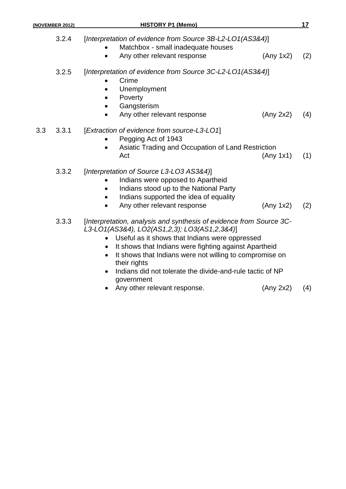| (NOVEMBER 2012) | <b>HISTORY P1 (Memo)</b>                                                                                                                                                                                                                                                                                                                                                             | 17  |
|-----------------|--------------------------------------------------------------------------------------------------------------------------------------------------------------------------------------------------------------------------------------------------------------------------------------------------------------------------------------------------------------------------------------|-----|
| 3.2.4           | [Interpretation of evidence from Source 3B-L2-L01(AS3&4)]<br>Matchbox - small inadequate houses                                                                                                                                                                                                                                                                                      |     |
|                 | Any other relevant response<br>(Any 1x2)                                                                                                                                                                                                                                                                                                                                             | (2) |
| 3.2.5           | [Interpretation of evidence from Source 3C-L2-L01(AS3&4)]<br>Crime<br>Unemployment<br>Poverty<br>Gangsterism                                                                                                                                                                                                                                                                         |     |
|                 | Any other relevant response<br>(Any 2x2)                                                                                                                                                                                                                                                                                                                                             | (4) |
| 3.3<br>3.3.1    | [Extraction of evidence from source-L3-LO1]<br>Pegging Act of 1943<br>Asiatic Trading and Occupation of Land Restriction<br>Act<br>(Any 1x1)                                                                                                                                                                                                                                         | (1) |
| 3.3.2           | [Interpretation of Source L3-L03 AS3&4)]<br>Indians were opposed to Apartheid<br>Indians stood up to the National Party<br>Indians supported the idea of equality<br>Any other relevant response<br>(Any 1x2)                                                                                                                                                                        | (2) |
| 3.3.3           | [Interpretation, analysis and synthesis of evidence from Source 3C-<br>L3-LO1(AS3&4), LO2(AS1,2,3); LO3(AS1,2,3&4)]<br>Useful as it shows that Indians were oppressed<br>It shows that Indians were fighting against Apartheid<br>It shows that Indians were not willing to compromise on<br>their rights<br>Indians did not tolerate the divide-and-rule tactic of NP<br>government |     |

• Any other relevant response. (Any 2x2) (4)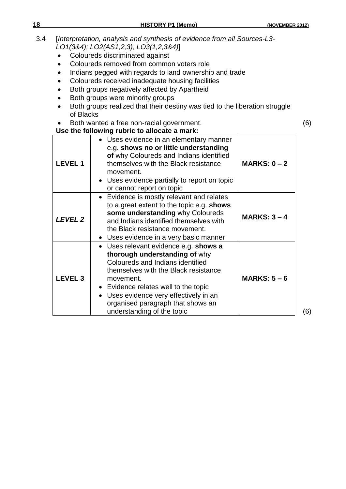- 3.4 [*Interpretation, analysis and synthesis of evidence from all Sources-L3- LO1(3&4); LO2(AS1,2,3); LO3(1,2,3&4)*]
	- Coloureds discriminated against
	- Coloureds removed from common voters role
	- Indians pegged with regards to land ownership and trade
	- Coloureds received inadequate housing facilities
	- Both groups negatively affected by Apartheid
	- Both groups were minority groups
	- Both groups realized that their destiny was tied to the liberation struggle of Blacks
	- Both wanted a free non-racial government. (6)

**Use the following rubric to allocate a mark: LEVEL 1** Uses evidence in an elementary manner e.g. **shows no or little understanding of** why Coloureds and Indians identified themselves with the Black resistance movement. Uses evidence partially to report on topic or cannot report on topic **MARKS: 0 – 2** *LEVEL 2* Evidence is mostly relevant and relates to a great extent to the topic e.g. **shows some understanding** why Coloureds and Indians identified themselves with the Black resistance movement. Uses evidence in a very basic manner **MARKS: 3 – 4 LEVEL 3** Uses relevant evidence e.g. **shows a thorough understanding of** why Coloureds and Indians identified themselves with the Black resistance movement. Evidence relates well to the topic Uses evidence very effectively in an organised paragraph that shows an understanding of the topic **MARKS: 5 – 6**

(6)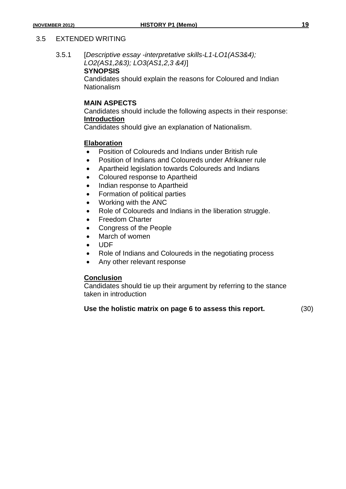#### 3.5 EXTENDED WRITING

3.5.1 [*Descriptive essay -interpretative skills-L1-LO1(AS3&4); LO2(AS1,2&3); LO3(AS1,2,3 &4)*]

#### **SYNOPSIS**

Candidates should explain the reasons for Coloured and Indian Nationalism

#### **MAIN ASPECTS**

Candidates should include the following aspects in their response: **Introduction**

Candidates should give an explanation of Nationalism.

#### **Elaboration**

- Position of Coloureds and Indians under British rule
- Position of Indians and Coloureds under Afrikaner rule
- Apartheid legislation towards Coloureds and Indians
- Coloured response to Apartheid
- Indian response to Apartheid
- Formation of political parties
- Working with the ANC
- Role of Coloureds and Indians in the liberation struggle.
- Freedom Charter
- Congress of the People
- March of women
- UDF
- Role of Indians and Coloureds in the negotiating process
- Any other relevant response

#### **Conclusion**

Candidates should tie up their argument by referring to the stance taken in introduction

#### **Use the holistic matrix on page 6 to assess this report.** (30)